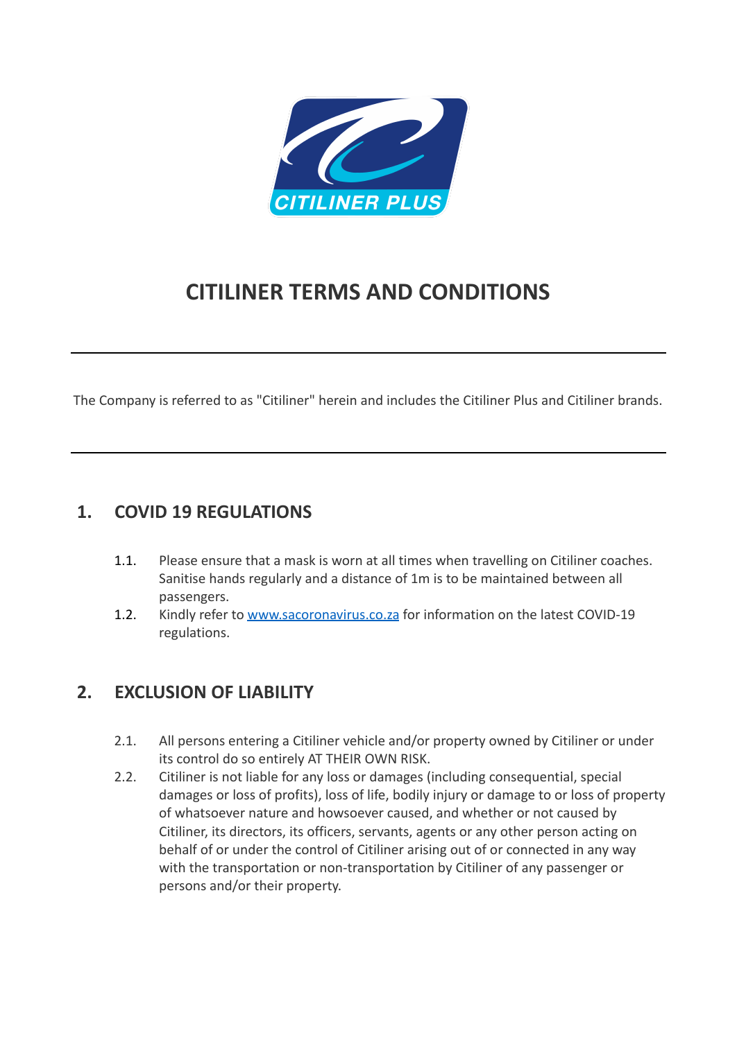

# **CITILINER TERMS AND CONDITIONS**

The Company is referred to as "Citiliner" herein and includes the Citiliner Plus and Citiliner brands.

#### **1. COVID 19 REGULATIONS**

- 1.1. Please ensure that a mask is worn at all times when travelling on Citiliner coaches. Sanitise hands regularly and a distance of 1m is to be maintained between all passengers.
- 1.2. Kindly refer to [www.sacoronavirus.co.za](http://www.sacoronavirus.co.za) for information on the latest COVID-19 regulations.

# **2. EXCLUSION OF LIABILITY**

- 2.1. All persons entering a Citiliner vehicle and/or property owned by Citiliner or under its control do so entirely AT THEIR OWN RISK.
- 2.2. Citiliner is not liable for any loss or damages (including consequential, special damages or loss of profits), loss of life, bodily injury or damage to or loss of property of whatsoever nature and howsoever caused, and whether or not caused by Citiliner, its directors, its officers, servants, agents or any other person acting on behalf of or under the control of Citiliner arising out of or connected in any way with the transportation or non-transportation by Citiliner of any passenger or persons and/or their property.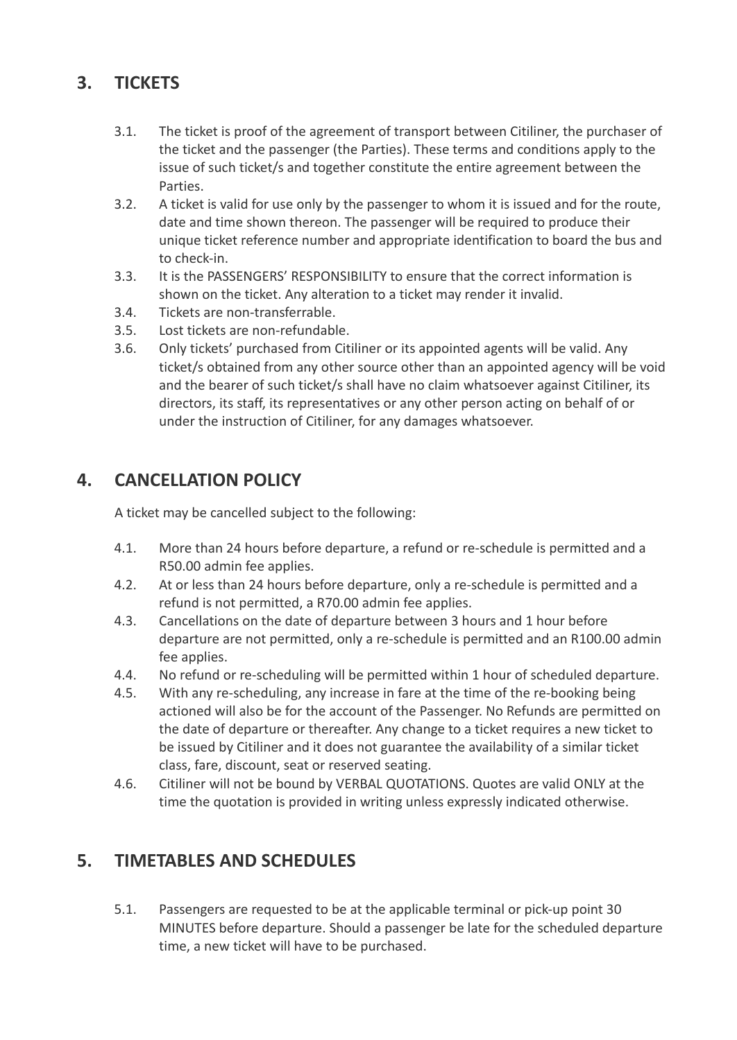# **3. TICKETS**

- 3.1. The ticket is proof of the agreement of transport between Citiliner, the purchaser of the ticket and the passenger (the Parties). These terms and conditions apply to the issue of such ticket/s and together constitute the entire agreement between the Parties.
- 3.2. A ticket is valid for use only by the passenger to whom it is issued and for the route, date and time shown thereon. The passenger will be required to produce their unique ticket reference number and appropriate identification to board the bus and to check-in.
- 3.3. It is the PASSENGERS' RESPONSIBILITY to ensure that the correct information is shown on the ticket. Any alteration to a ticket may render it invalid.
- 3.4. Tickets are non-transferrable.
- 3.5. Lost tickets are non-refundable.
- 3.6. Only tickets' purchased from Citiliner or its appointed agents will be valid. Any ticket/s obtained from any other source other than an appointed agency will be void and the bearer of such ticket/s shall have no claim whatsoever against Citiliner, its directors, its staff, its representatives or any other person acting on behalf of or under the instruction of Citiliner, for any damages whatsoever.

# **4. CANCELLATION POLICY**

A ticket may be cancelled subject to the following:

- 4.1. More than 24 hours before departure, a refund or re-schedule is permitted and a R50.00 admin fee applies.
- 4.2. At or less than 24 hours before departure, only a re-schedule is permitted and a refund is not permitted, a R70.00 admin fee applies.
- 4.3. Cancellations on the date of departure between 3 hours and 1 hour before departure are not permitted, only a re-schedule is permitted and an R100.00 admin fee applies.
- 4.4. No refund or re-scheduling will be permitted within 1 hour of scheduled departure.
- 4.5. With any re-scheduling, any increase in fare at the time of the re-booking being actioned will also be for the account of the Passenger. No Refunds are permitted on the date of departure or thereafter. Any change to a ticket requires a new ticket to be issued by Citiliner and it does not guarantee the availability of a similar ticket class, fare, discount, seat or reserved seating.
- 4.6. Citiliner will not be bound by VERBAL QUOTATIONS. Quotes are valid ONLY at the time the quotation is provided in writing unless expressly indicated otherwise.

# **5. TIMETABLES AND SCHEDULES**

5.1. Passengers are requested to be at the applicable terminal or pick-up point 30 MINUTES before departure. Should a passenger be late for the scheduled departure time, a new ticket will have to be purchased.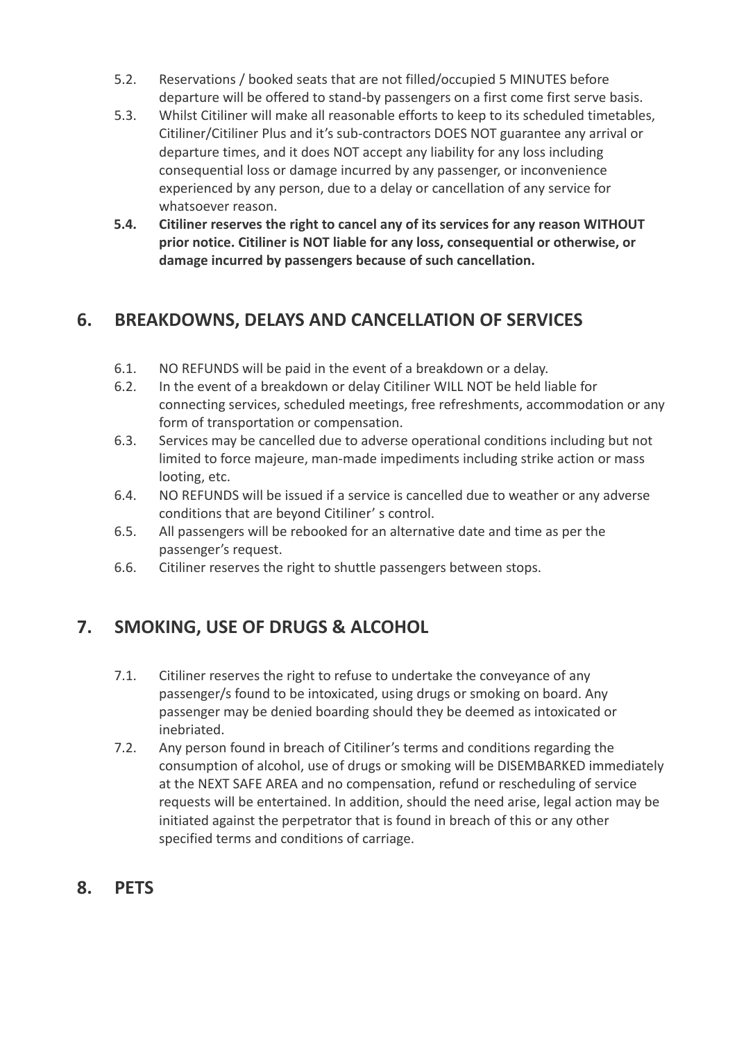- 5.2. Reservations / booked seats that are not filled/occupied 5 MINUTES before departure will be offered to stand-by passengers on a first come first serve basis.
- 5.3. Whilst Citiliner will make all reasonable efforts to keep to its scheduled timetables, Citiliner/Citiliner Plus and it's sub-contractors DOES NOT guarantee any arrival or departure times, and it does NOT accept any liability for any loss including consequential loss or damage incurred by any passenger, or inconvenience experienced by any person, due to a delay or cancellation of any service for whatsoever reason.
- **5.4. Citiliner reserves the right to cancel any of its services for any reason WITHOUT prior notice. Citiliner is NOT liable for any loss, consequential or otherwise, or damage incurred by passengers because of such cancellation.**

# **6. BREAKDOWNS, DELAYS AND CANCELLATION OF SERVICES**

- 6.1. NO REFUNDS will be paid in the event of a breakdown or a delay.
- 6.2. In the event of a breakdown or delay Citiliner WILL NOT be held liable for connecting services, scheduled meetings, free refreshments, accommodation or any form of transportation or compensation.
- 6.3. Services may be cancelled due to adverse operational conditions including but not limited to force majeure, man-made impediments including strike action or mass looting, etc.
- 6.4. NO REFUNDS will be issued if a service is cancelled due to weather or any adverse conditions that are beyond Citiliner' s control.
- 6.5. All passengers will be rebooked for an alternative date and time as per the passenger's request.
- 6.6. Citiliner reserves the right to shuttle passengers between stops.

# **7. SMOKING, USE OF DRUGS & ALCOHOL**

- 7.1. Citiliner reserves the right to refuse to undertake the conveyance of any passenger/s found to be intoxicated, using drugs or smoking on board. Any passenger may be denied boarding should they be deemed as intoxicated or inebriated.
- 7.2. Any person found in breach of Citiliner's terms and conditions regarding the consumption of alcohol, use of drugs or smoking will be DISEMBARKED immediately at the NEXT SAFE AREA and no compensation, refund or rescheduling of service requests will be entertained. In addition, should the need arise, legal action may be initiated against the perpetrator that is found in breach of this or any other specified terms and conditions of carriage.
- **8. PETS**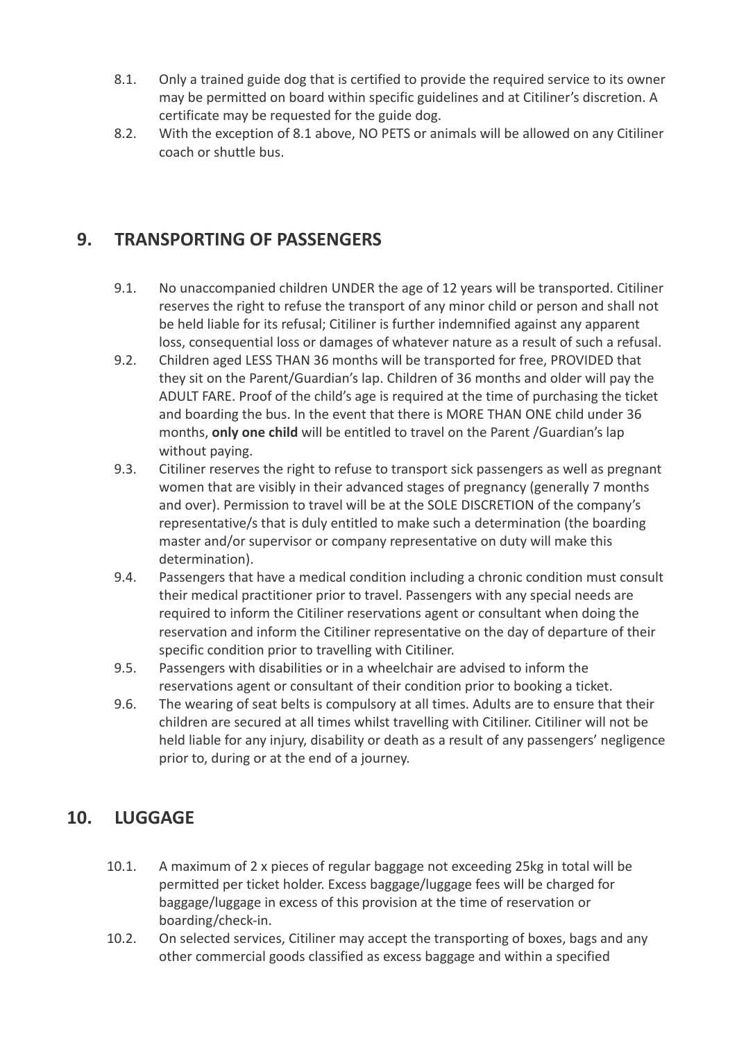- 8.1. Only a trained guide dog that is certified to provide the required service to its owner may be permitted on board within specific guidelines and at Citiliner's discretion. A certificate may be requested for the guide dog.
- 8.2. With the exception of 8.1 above, NO PETS or animals will be allowed on any Citiliner coach or shuttle bus.

#### **9. TRANSPORTING OF PASSENGERS**

- 9.1. No unaccompanied children UNDER the age of 12 years will be transported. Citiliner reserves the right to refuse the transport of any minor child or person and shall not be held liable for its refusal; Citiliner is further indemnified against any apparent loss, consequential loss or damages of whatever nature as a result of such a refusal.
- 9.2. Children aged LESS THAN 36 months will be transported for free, PROVIDED that they sit on the Parent/Guardian's lap. Children of 36 months and older will pay the ADULT FARE. Proof of the child's age is required at the time of purchasing the ticket and boarding the bus. In the event that there is MORE THAN ONE child under 36 months, **only one child** will be entitled to travel on the Parent /Guardian's lap without paying.
- 9.3. Citiliner reserves the right to refuse to transport sick passengers as well as pregnant women that are visibly in their advanced stages of pregnancy (generally 7 months and over). Permission to travel will be at the SOLE DISCRETION of the company's representative/s that is duly entitled to make such a determination (the boarding master and/or supervisor or company representative on duty will make this determination).
- 9.4. Passengers that have a medical condition including a chronic condition must consult their medical practitioner prior to travel. Passengers with any special needs are required to inform the Citiliner reservations agent or consultant when doing the reservation and inform the Citiliner representative on the day of departure of their specific condition prior to travelling with Citiliner.
- 9.5. Passengers with disabilities or in a wheelchair are advised to inform the reservations agent or consultant of their condition prior to booking a ticket.
- 9.6. The wearing of seat belts is compulsory at all times. Adults are to ensure that their children are secured at all times whilst travelling with Citiliner. Citiliner will not be held liable for any injury, disability or death as a result of any passengers' negligence prior to, during or at the end of a journey.

#### **10. LUGGAGE**

- 10.1. A maximum of 2 x pieces of regular baggage not exceeding 25kg in total will be permitted per ticket holder. Excess baggage/luggage fees will be charged for baggage/luggage in excess of this provision at the time of reservation or boarding/check-in.
- 10.2. On selected services, Citiliner may accept the transporting of boxes, bags and any other commercial goods classified as excess baggage and within a specified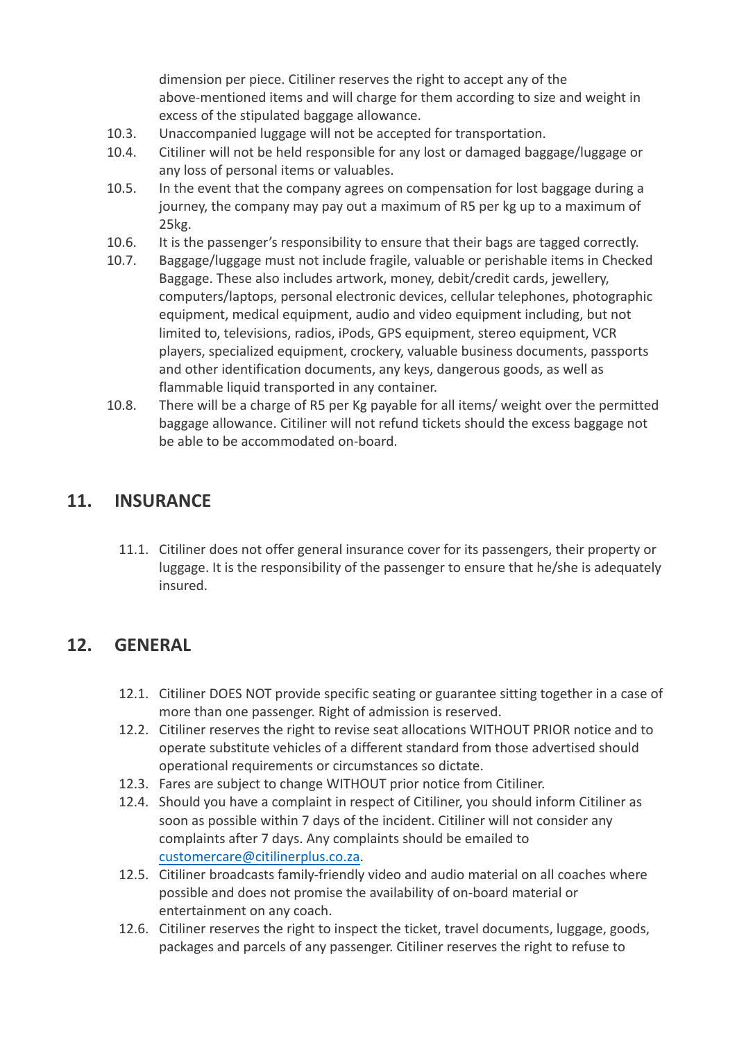dimension per piece. Citiliner reserves the right to accept any of the above-mentioned items and will charge for them according to size and weight in excess of the stipulated baggage allowance.

- 10.3. Unaccompanied luggage will not be accepted for transportation.
- 10.4. Citiliner will not be held responsible for any lost or damaged baggage/luggage or any loss of personal items or valuables.
- 10.5. In the event that the company agrees on compensation for lost baggage during a journey, the company may pay out a maximum of R5 per kg up to a maximum of 25kg.
- 10.6. It is the passenger's responsibility to ensure that their bags are tagged correctly.
- 10.7. Baggage/luggage must not include fragile, valuable or perishable items in Checked Baggage. These also includes artwork, money, debit/credit cards, jewellery, computers/laptops, personal electronic devices, cellular telephones, photographic equipment, medical equipment, audio and video equipment including, but not limited to, televisions, radios, iPods, GPS equipment, stereo equipment, VCR players, specialized equipment, crockery, valuable business documents, passports and other identification documents, any keys, dangerous goods, as well as flammable liquid transported in any container.
- 10.8. There will be a charge of R5 per Kg payable for all items/ weight over the permitted baggage allowance. Citiliner will not refund tickets should the excess baggage not be able to be accommodated on-board.

#### **11. INSURANCE**

11.1. Citiliner does not offer general insurance cover for its passengers, their property or luggage. It is the responsibility of the passenger to ensure that he/she is adequately insured.

#### **12. GENERAL**

- 12.1. Citiliner DOES NOT provide specific seating or guarantee sitting together in a case of more than one passenger. Right of admission is reserved.
- 12.2. Citiliner reserves the right to revise seat allocations WITHOUT PRIOR notice and to operate substitute vehicles of a different standard from those advertised should operational requirements or circumstances so dictate.
- 12.3. Fares are subject to change WITHOUT prior notice from Citiliner.
- 12.4. Should you have a complaint in respect of Citiliner, you should inform Citiliner as soon as possible within 7 days of the incident. Citiliner will not consider any complaints after 7 days. Any complaints should be emailed to [customercare@citiliner](mailto:customercare@citiliner.co.za)plus.co.za.
- 12.5. Citiliner broadcasts family-friendly video and audio material on all coaches where possible and does not promise the availability of on-board material or entertainment on any coach.
- 12.6. Citiliner reserves the right to inspect the ticket, travel documents, luggage, goods, packages and parcels of any passenger. Citiliner reserves the right to refuse to